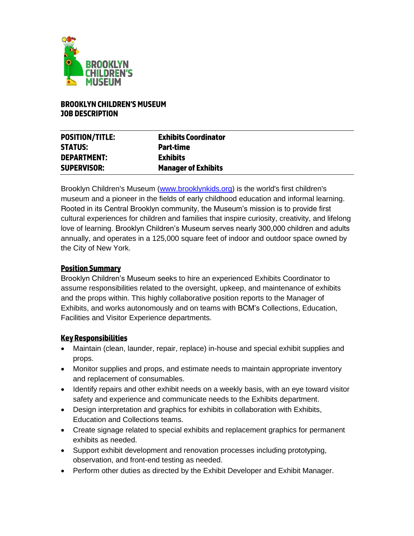

#### **BROOKLYN CHILDREN'S MUSEUM JOB DESCRIPTION**

| <b>POSITION/TITLE:</b><br><b>STATUS:</b> | <b>Exhibits Coordinator</b><br>Part-time |
|------------------------------------------|------------------------------------------|
| <b>DEPARTMENT:</b>                       | <b>Exhibits</b>                          |
| <b>SUPERVISOR:</b>                       | <b>Manager of Exhibits</b>               |

Brooklyn Children's Museum [\(www.brooklynkids.org\)](https://www.brooklynkids.org/) is the world's first children's museum and a pioneer in the fields of early childhood education and informal learning. Rooted in its Central Brooklyn community, the Museum's mission is to provide first cultural experiences for children and families that inspire curiosity, creativity, and lifelong love of learning. Brooklyn Children's Museum serves nearly 300,000 children and adults annually, and operates in a 125,000 square feet of indoor and outdoor space owned by the City of New York.

### **Position Summary**

Brooklyn Children's Museum seeks to hire an experienced Exhibits Coordinator to assume responsibilities related to the oversight, upkeep, and maintenance of exhibits and the props within. This highly collaborative position reports to the Manager of Exhibits, and works autonomously and on teams with BCM's Collections, Education, Facilities and Visitor Experience departments.

### **Key Responsibilities**

- Maintain (clean, launder, repair, replace) in-house and special exhibit supplies and props.
- Monitor supplies and props, and estimate needs to maintain appropriate inventory and replacement of consumables.
- Identify repairs and other exhibit needs on a weekly basis, with an eye toward visitor safety and experience and communicate needs to the Exhibits department.
- Design interpretation and graphics for exhibits in collaboration with Exhibits, Education and Collections teams.
- Create signage related to special exhibits and replacement graphics for permanent exhibits as needed.
- Support exhibit development and renovation processes including prototyping, observation, and front-end testing as needed.
- Perform other duties as directed by the Exhibit Developer and Exhibit Manager.